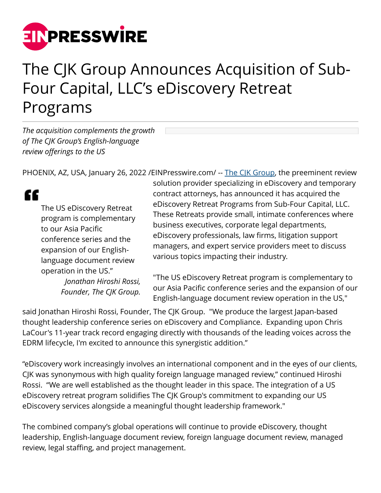

## The CJK Group Announces Acquisition of Sub-Four Capital, LLC's eDiscovery Retreat Programs

*The acquisition complements the growth of The CJK Group's English-language review offerings to the US*

PHOENIX, AZ, USA, January 26, 2022 /[EINPresswire.com/](http://www.einpresswire.com) -- [The CJK Group,](https://www.TheCJKGroup.com/) the preeminent review

## "

The US eDiscovery Retreat program is complementary to our Asia Pacific conference series and the expansion of our Englishlanguage document review operation in the US." *Jonathan Hiroshi Rossi, Founder, The CJK Group.*

solution provider specializing in eDiscovery and temporary contract attorneys, has announced it has acquired the eDiscovery Retreat Programs from Sub-Four Capital, LLC. These Retreats provide small, intimate conferences where business executives, corporate legal departments, eDiscovery professionals, law firms, litigation support managers, and expert service providers meet to discuss various topics impacting their industry.

"The US eDiscovery Retreat program is complementary to our Asia Pacific conference series and the expansion of our English-language document review operation in the US,"

said Jonathan Hiroshi Rossi, Founder, The CJK Group. "We produce the largest Japan-based thought leadership conference series on eDiscovery and Compliance. Expanding upon Chris LaCour's 11-year track record engaging directly with thousands of the leading voices across the EDRM lifecycle, I'm excited to announce this synergistic addition."

"eDiscovery work increasingly involves an international component and in the eyes of our clients, CJK was synonymous with high quality foreign language managed review," continued Hiroshi Rossi. "We are well established as the thought leader in this space. The integration of a US eDiscovery retreat program solidifies The CJK Group's commitment to expanding our US eDiscovery services alongside a meaningful thought leadership framework."

The combined company's global operations will continue to provide eDiscovery, thought leadership, English-language document review, foreign language document review, managed review, legal staffing, and project management.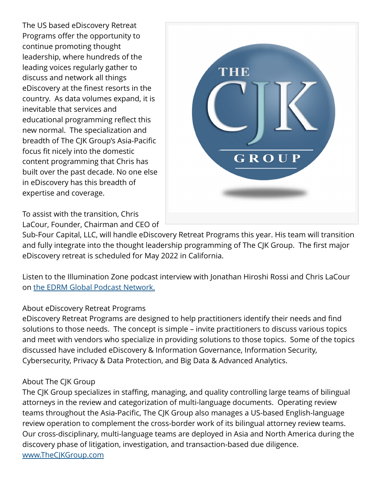The US based eDiscovery Retreat Programs offer the opportunity to continue promoting thought leadership, where hundreds of the leading voices regularly gather to discuss and network all things eDiscovery at the finest resorts in the country. As data volumes expand, it is inevitable that services and educational programming reflect this new normal. The specialization and breadth of The CJK Group's Asia-Pacific focus fit nicely into the domestic content programming that Chris has built over the past decade. No one else in eDiscovery has this breadth of expertise and coverage.

To assist with the transition, Chris LaCour, Founder, Chairman and CEO of



Sub-Four Capital, LLC, will handle eDiscovery Retreat Programs this year. His team will transition and fully integrate into the thought leadership programming of The CJK Group. The first major eDiscovery retreat is scheduled for May 2022 in California.

Listen to the Illumination Zone podcast interview with Jonathan Hiroshi Rossi and Chris LaCour on [the EDRM Global Podcast Network.](https://edrm.net/resources/podcasts/)

## About eDiscovery Retreat Programs

eDiscovery Retreat Programs are designed to help practitioners identify their needs and find solutions to those needs. The concept is simple – invite practitioners to discuss various topics and meet with vendors who specialize in providing solutions to those topics. Some of the topics discussed have included eDiscovery & Information Governance, Information Security, Cybersecurity, Privacy & Data Protection, and Big Data & Advanced Analytics.

## About The CJK Group

The CJK Group specializes in staffing, managing, and quality controlling large teams of bilingual attorneys in the review and categorization of multi-language documents. Operating review teams throughout the Asia-Pacific, The CJK Group also manages a US-based English-language review operation to complement the cross-border work of its bilingual attorney review teams. Our cross-disciplinary, multi-language teams are deployed in Asia and North America during the discovery phase of litigation, investigation, and transaction-based due diligence. [www.TheCJKGroup.com](http://www.TheCJKGroup.com)